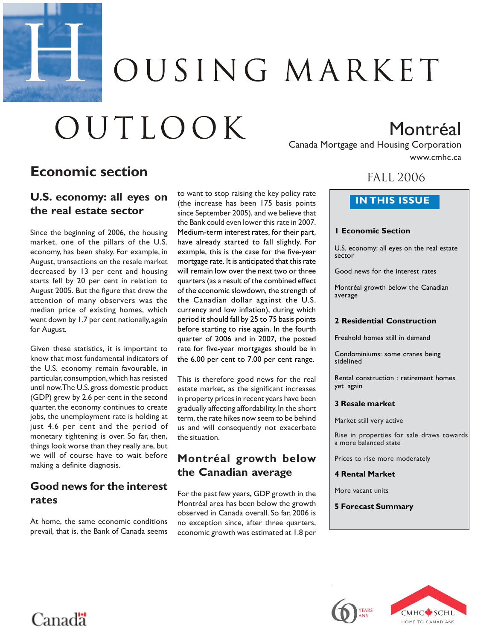

OUSING MARKET

# OUTLOOK

## **Economic section**<br>FALL 2006

#### **U.S. economy: all eyes on the real estate sector**

Since the beginning of 2006, the housing market, one of the pillars of the U.S. economy, has been shaky. For example, in August, transactions on the resale market decreased by 13 per cent and housing starts fell by 20 per cent in relation to August 2005. But the figure that drew the attention of many observers was the median price of existing homes, which went down by 1.7 per cent nationally, again for August.

Given these statistics, it is important to know that most fundamental indicators of the U.S. economy remain favourable, in particular, consumption, which has resisted until now. The U.S. gross domestic product (GDP) grew by 2.6 per cent in the second quarter, the economy continues to create jobs, the unemployment rate is holding at just 4.6 per cent and the period of monetary tightening is over. So far, then, things look worse than they really are, but we will of course have to wait before making a definite diagnosis.

#### **Good news for the interest rates**

At home, the same economic conditions prevail, that is, the Bank of Canada seems

to want to stop raising the key policy rate (the increase has been 175 basis points since September 2005), and we believe that the Bank could even lower this rate in 2007. Medium-term interest rates, for their part, have already started to fall slightly. For example, this is the case for the five-year mortgage rate. It is anticipated that this rate will remain low over the next two or three quarters (as a result of the combined effect of the economic slowdown, the strength of the Canadian dollar against the U.S. currency and low inflation), during which period it should fall by 25 to 75 basis points before starting to rise again. In the fourth quarter of 2006 and in 2007, the posted rate for five-year mortgages should be in the 6.00 per cent to 7.00 per cent range.

This is therefore good news for the real estate market, as the significant increases in property prices in recent years have been gradually affecting affordability. In the short term, the rate hikes now seem to be behind us and will consequently not exacerbate the situation.

#### **Montréal growth below the Canadian average**

For the past few years, GDP growth in the Montréal area has been below the growth observed in Canada overall. So far, 2006 is no exception since, after three quarters, economic growth was estimated at 1.8 per

# Montréal

Canada Mortgage and Housing Corporation www.cmhc.ca

#### **IN THIS ISSUE 1 Economic Section** U.S. economy: all eyes on the real estate sector Good news for the interest rates Montréal growth below the Canadian average **2 Residential Construction** Freehold homes still in demand Condominiums: some cranes being sidelined Rental construction : retirement homes yet again **3 Resale market** Market still very active Rise in properties for sale draws towards a more balanced state Prices to rise more moderately **4 Rental Market** More vacant units

**5 Forecast Summary**



# Canadä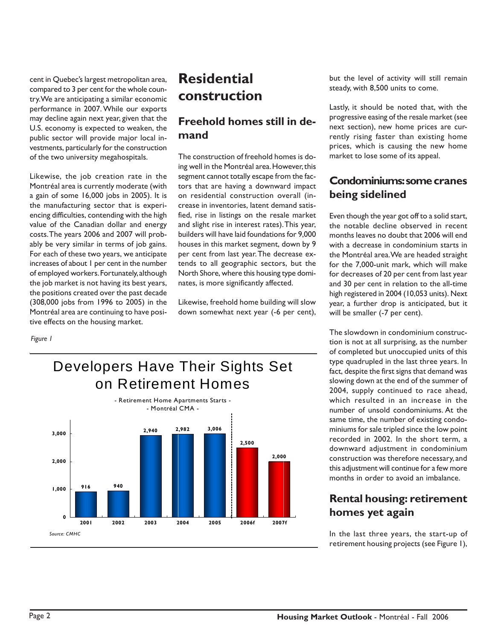cent in Quebec's largest metropolitan area, compared to 3 per cent for the whole country. We are anticipating a similar economic performance in 2007. While our exports may decline again next year, given that the U.S. economy is expected to weaken, the public sector will provide major local investments, particularly for the construction of the two university megahospitals.

Likewise, the job creation rate in the Montréal area is currently moderate (with a gain of some 16,000 jobs in 2005). It is the manufacturing sector that is experiencing difficulties, contending with the high value of the Canadian dollar and energy costs. The years 2006 and 2007 will probably be very similar in terms of job gains. For each of these two years, we anticipate increases of about 1 per cent in the number of employed workers. Fortunately, although the job market is not having its best years, the positions created over the past decade (308,000 jobs from 1996 to 2005) in the Montréal area are continuing to have positive effects on the housing market.

### **Residential construction**

#### **Freehold homes still in demand**

The construction of freehold homes is doing well in the Montréal area. However, this segment cannot totally escape from the factors that are having a downward impact on residential construction overall (increase in inventories, latent demand satisfied, rise in listings on the resale market and slight rise in interest rates). This year, builders will have laid foundations for 9,000 houses in this market segment, down by 9 per cent from last year. The decrease extends to all geographic sectors, but the North Shore, where this housing type dominates, is more significantly affected.

Likewise, freehold home building will slow down somewhat next year (-6 per cent),

*Figure 1*



but the level of activity will still remain steady, with 8,500 units to come.

Lastly, it should be noted that, with the progressive easing of the resale market (see next section), new home prices are currently rising faster than existing home prices, which is causing the new home market to lose some of its appeal.

#### **Condominiums: some cranes being sidelined**

Even though the year got off to a solid start, the notable decline observed in recent months leaves no doubt that 2006 will end with a decrease in condominium starts in the Montréal area. We are headed straight for the 7,000-unit mark, which will make for decreases of 20 per cent from last year and 30 per cent in relation to the all-time high registered in 2004 (10,053 units). Next year, a further drop is anticipated, but it will be smaller (-7 per cent).

The slowdown in condominium construction is not at all surprising, as the number of completed but unoccupied units of this type quadrupled in the last three years. In fact, despite the first signs that demand was slowing down at the end of the summer of 2004, supply continued to race ahead, which resulted in an increase in the number of unsold condominiums. At the same time, the number of existing condominiums for sale tripled since the low point recorded in 2002. In the short term, a downward adjustment in condominium construction was therefore necessary, and this adjustment will continue for a few more months in order to avoid an imbalance.

#### **Rental housing: retirement homes yet again**

In the last three years, the start-up of retirement housing projects (see Figure 1),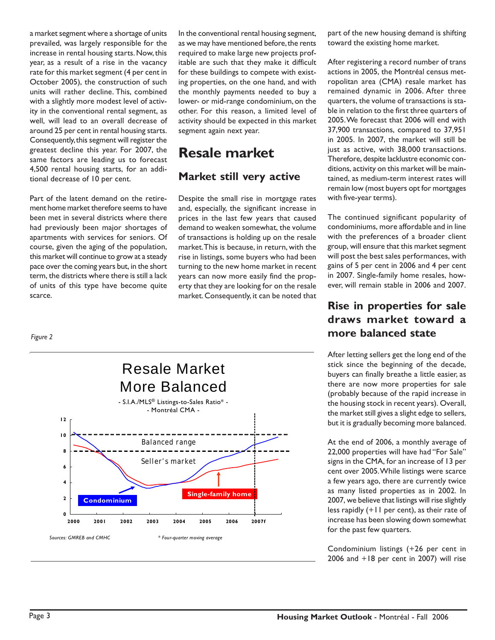a market segment where a shortage of units prevailed, was largely responsible for the increase in rental housing starts. Now, this year, as a result of a rise in the vacancy rate for this market segment (4 per cent in October 2005), the construction of such units will rather decline. This, combined with a slightly more modest level of activity in the conventional rental segment, as well, will lead to an overall decrease of around 25 per cent in rental housing starts. Consequently, this segment will register the greatest decline this year. For 2007, the same factors are leading us to forecast 4,500 rental housing starts, for an additional decrease of 10 per cent.

Part of the latent demand on the retirement home market therefore seems to have been met in several districts where there had previously been major shortages of apartments with services for seniors. Of course, given the aging of the population, this market will continue to grow at a steady pace over the coming years but, in the short term, the districts where there is still a lack of units of this type have become quite scarce.

In the conventional rental housing segment, as we may have mentioned before, the rents required to make large new projects profitable are such that they make it difficult for these buildings to compete with existing properties, on the one hand, and with the monthly payments needed to buy a lower- or mid-range condominium, on the other. For this reason, a limited level of activity should be expected in this market segment again next year.

### **Resale market**

#### **Market still very active**

Despite the small rise in mortgage rates and, especially, the significant increase in prices in the last few years that caused demand to weaken somewhat, the volume of transactions is holding up on the resale market. This is because, in return, with the rise in listings, some buyers who had been turning to the new home market in recent years can now more easily find the property that they are looking for on the resale market. Consequently, it can be noted that

*Figure 2*



part of the new housing demand is shifting toward the existing home market.

After registering a record number of trans actions in 2005, the Montréal census metropolitan area (CMA) resale market has remained dynamic in 2006. After three quarters, the volume of transactions is stable in relation to the first three quarters of 2005. We forecast that 2006 will end with 37,900 transactions, compared to 37,951 in 2005. In 2007, the market will still be just as active, with 38,000 transactions. Therefore, despite lacklustre economic conditions, activity on this market will be maintained, as medium-term interest rates will remain low (most buyers opt for mortgages with five-year terms).

The continued significant popularity of condominiums, more affordable and in line with the preferences of a broader client group, will ensure that this market segment will post the best sales performances, with gains of 5 per cent in 2006 and 4 per cent in 2007. Single-family home resales, however, will remain stable in 2006 and 2007.

#### **Rise in properties for sale draws market toward a more balanced state**

After letting sellers get the long end of the stick since the beginning of the decade, buyers can finally breathe a little easier, as there are now more properties for sale (probably because of the rapid increase in the housing stock in recent years). Overall, the market still gives a slight edge to sellers, but it is gradually becoming more balanced.

At the end of 2006, a monthly average of 22,000 properties will have had "For Sale" signs in the CMA, for an increase of 13 per cent over 2005. While listings were scarce a few years ago, there are currently twice as many listed properties as in 2002. In 2007, we believe that listings will rise slightly less rapidly (+11 per cent), as their rate of increase has been slowing down somewhat for the past few quarters.

Condominium listings (+26 per cent in 2006 and  $+18$  per cent in 2007) will rise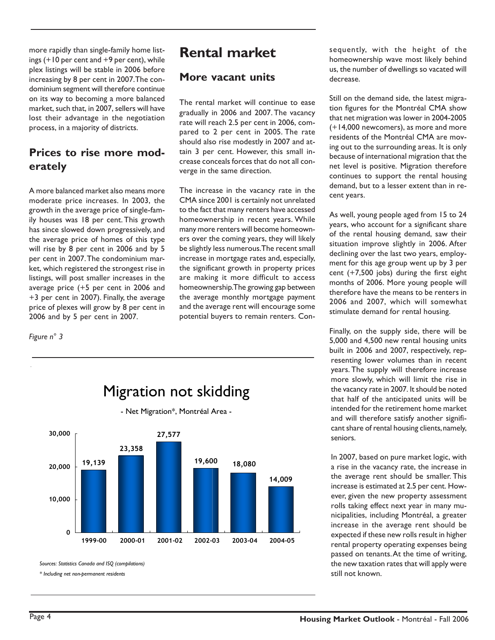more rapidly than single-family home listings  $(+10$  per cent and  $+9$  per cent), while plex listings will be stable in 2006 before increasing by 8 per cent in 2007. The condominium segment will therefore continue on its way to becoming a more balanced market, such that, in 2007, sellers will have lost their advantage in the negotiation process, in a majority of districts.

#### **Prices to rise more moderately**

A more balanced market also means more moderate price increases. In 2003, the growth in the average price of single-family houses was 18 per cent. This growth has since slowed down progressively, and the average price of homes of this type will rise by 8 per cent in 2006 and by 5 per cent in 2007. The condominium market, which registered the strongest rise in listings, will post smaller increases in the average price (+5 per cent in 2006 and +3 per cent in 2007). Finally, the average price of plexes will grow by 8 per cent in 2006 and by 5 per cent in 2007.

*Figure n° 3*

#### **Rental market**

#### **More vacant units**

The rental market will continue to ease gradually in 2006 and 2007. The vacancy rate will reach 2.5 per cent in 2006, compared to 2 per cent in 2005. The rate should also rise modestly in 2007 and attain 3 per cent. However, this small increase conceals forces that do not all converge in the same direction.

The increase in the vacancy rate in the CMA since 2001 is certainly not unrelated to the fact that many renters have accessed homeownership in recent years. While many more renters will become homeowners over the coming years, they will likely be slightly less numerous. The recent small increase in mortgage rates and, especially, the significant growth in property prices are making it more difficult to access homeownership. The growing gap between the average monthly mortgage payment and the average rent will encourage some potential buyers to remain renters. Consequently, with the height of the homeownership wave most likely behind us, the number of dwellings so vacated will decrease.

Still on the demand side, the latest migration figures for the Montréal CMA show that net migration was lower in 2004-2005 (+14,000 newcomers), as more and more residents of the Montréal CMA are moving out to the surrounding areas. It is only because of international migration that the net level is positive. Migration therefore continues to support the rental housing demand, but to a lesser extent than in recent years.

As well, young people aged from 15 to 24 years, who account for a significant share of the rental housing demand, saw their situation improve slightly in 2006. After declining over the last two years, employment for this age group went up by 3 per cent (+7,500 jobs) during the first eight months of 2006. More young people will therefore have the means to be renters in 2006 and 2007, which will somewhat stimulate demand for rental housing.

Finally, on the supply side, there will be 5,000 and 4,500 new rental housing units built in 2006 and 2007, respectively, representing lower volumes than in recent years. The supply will therefore increase more slowly, which will limit the rise in the vacancy rate in 2007. It should be noted that half of the anticipated units will be intended for the retirement home market and will therefore satisfy another significant share of rental housing clients, namely, seniors.

In 2007, based on pure market logic, with a rise in the vacancy rate, the increase in the average rent should be smaller. This increase is estimated at 2.5 per cent. However, given the new property assessment rolls taking effect next year in many municipalities, including Montréal, a greater increase in the average rent should be expected if these new rolls result in higher rental property operating expenses being passed on tenants. At the time of writing, the new taxation rates that will apply were still not known.

Migration not skidding - Net Migration\*, Montréal Area -

![](_page_3_Figure_14.jpeg)

*Sources: Statistics Canada and ISQ (compilations)* 

*\* Including net non-permanent residents*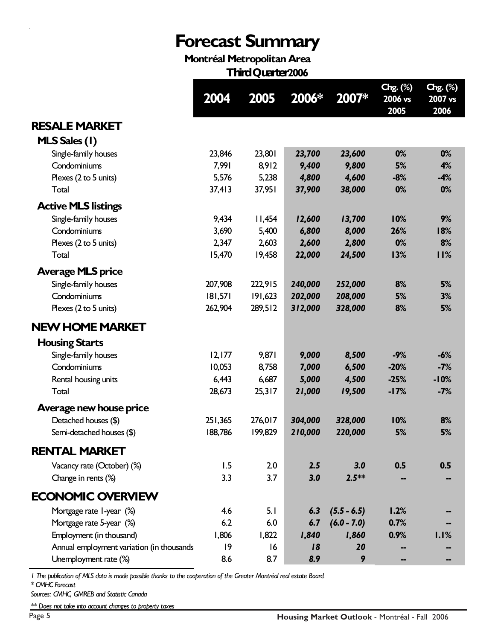# **Forecast Summary**

#### **Montréal Metropolitan Area**

**Third Quarter2006**

|                                           | 2004    | 2005    | 2006*   | 2007*         | Chg. (%)<br>2006 vs<br>2005 | $C\negthinspace\overline{\negthinspace}(\%)$<br>2007 vs<br>2006 |
|-------------------------------------------|---------|---------|---------|---------------|-----------------------------|-----------------------------------------------------------------|
| <b>RESALE MARKET</b>                      |         |         |         |               |                             |                                                                 |
| MLS Sales (1)                             |         |         |         |               |                             |                                                                 |
| Single-family houses                      | 23,846  | 23,801  | 23,700  | 23,600        | 0%                          | 0%                                                              |
| Condominiums                              | 7,991   | 8,912   | 9,400   | 9,800         | 5%                          | 4%                                                              |
| Plexes (2 to 5 units)                     | 5,576   | 5,238   | 4,800   | 4,600         | $-8%$                       | $-4%$                                                           |
| Total                                     | 37,413  | 37,951  | 37,900  | 38,000        | 0%                          | 0%                                                              |
| <b>Active MLS listings</b>                |         |         |         |               |                             |                                                                 |
| Single-family houses                      | 9,434   | 11,454  | 12,600  | 13,700        | 10%                         | 9%                                                              |
| Condominiums                              | 3,690   | 5,400   | 6,800   | 8,000         | 26%                         | 18%                                                             |
| Plexes (2 to 5 units)                     | 2,347   | 2,603   | 2,600   | 2,800         | 0%                          | 8%                                                              |
| Total                                     | 15,470  | 19,458  | 22,000  | 24,500        | 13%                         | 11%                                                             |
| <b>Average MLS price</b>                  |         |         |         |               |                             |                                                                 |
| Single-family houses                      | 207,908 | 222,915 | 240,000 | 252,000       | 8%                          | 5%                                                              |
| Condominiums                              | 181,571 | 191,623 | 202,000 | 208,000       | 5%                          | 3%                                                              |
| Plexes (2 to 5 units)                     | 262,904 | 289,512 | 312,000 | 328,000       | 8%                          | 5%                                                              |
| <b>NEW HOME MARKET</b>                    |         |         |         |               |                             |                                                                 |
| <b>Housing Starts</b>                     |         |         |         |               |                             |                                                                 |
| Single-family houses                      | 12,177  | 9,871   | 9,000   | 8,500         | $-9%$                       | $-6%$                                                           |
| Condominiums                              | 10,053  | 8,758   | 7,000   | 6,500         | $-20%$                      | $-7%$                                                           |
| Rental housing units                      | 6,443   | 6,687   | 5,000   | 4,500         | $-25%$                      | $-10%$                                                          |
| Total                                     | 28,673  | 25,317  | 21,000  | 19,500        | $-17%$                      | $-7%$                                                           |
| Average new house price                   |         |         |         |               |                             |                                                                 |
| Detached houses (\$)                      | 251,365 | 276,017 | 304,000 | 328,000       | 10%                         | 8%                                                              |
| Semi-detached houses (\$)                 | 188,786 | 199,829 | 210,000 | 220,000       | 5%                          | 5%                                                              |
| <b>RENTAL MARKET</b>                      |         |         |         |               |                             |                                                                 |
| Vacancy rate (October) (%)                | 1.5     | 2.0     | 2.5     | 3.0           | 0.5                         | 0.5                                                             |
| Change in rents (%)                       | 3.3     | 3.7     | 3.0     | $2.5***$      |                             |                                                                 |
| <b>ECONOMIC OVERVIEW</b>                  |         |         |         |               |                             |                                                                 |
| Mortgage rate I-year (%)                  | 4.6     | 5.1     | 6.3     | $(5.5 - 6.5)$ | 1.2%                        |                                                                 |
| Mortgage rate 5-year (%)                  | 6.2     | 6.0     | 6.7     | $(6.0 - 7.0)$ | 0.7%                        |                                                                 |
| Employment (in thousand)                  | 1,806   | 1,822   | 1,840   | 1,860         | 0.9%                        | 1.1%                                                            |
| Annual employment variation (in thousands | 9       | 16      | 18      | 20            |                             |                                                                 |
| Unemployment rate (%)                     | 8.6     | 8.7     | 8.9     | 9             |                             |                                                                 |

*1 The publication of MLS data is made possible thanks to the cooperation of the Greater Montréal real estate Board.*

*\* CMHC Forecast*

*Sources: CMHC, GMREB and Statistic Canada*

*\*\* Does not take into account changes to property taxes*